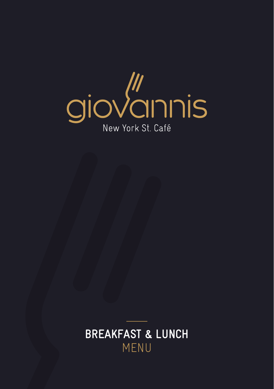

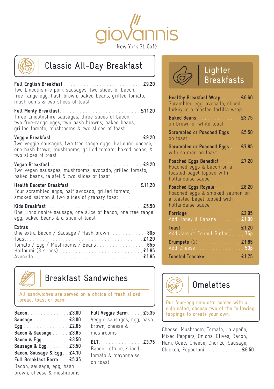



# Classic All-Day Breakfast

**Full English Breakfast £9.20** Two Lincolnshire pork sausages, two slices of bacon, free-range egg, hash brown, baked beans, grilled tomato, mushrooms & two slices of toast

**Full Monty Breakfast £11.20** Three Lincolnshire sausages, three slices of bacon, two free-range eggs, two hash browns, baked beans, grilled tomato, mushrooms & two slices of toast

**Veggie Breakfast £9.20** Two veggie sausages, two free range eggs, Halloumi cheese, one hash brown, mushrooms, grilled tomato, baked beans, & two slices of toast

**Vegan Breakfast £9.20** Two vegan sausages, mushrooms, avocado, grilled tomato, baked beans, falafel & two slices of toast

**Health Booster Breakfast £11.20** Four scrambled eggs, half avocado, grilled tomato, smoked salmon & two slices of granary toast

**Kids Breakfast £5.50** One Lincolnshire sausage, one slice of bacon, one free range egg, baked beans & a slice of toast

#### **Extras**

| One extra Bacon / Sausage / Hash brown80p |  |
|-------------------------------------------|--|
|                                           |  |
|                                           |  |
|                                           |  |
|                                           |  |



# Breakfast Sandwiches

All sandwiches are served on a choice of fresh sliced bread, toast or barm and the compact of the comes with a bread, toast or barm of  $\Box$  Our four-egg omelette comes with a

| Bacon. £3.00                  |
|-------------------------------|
| Sausage £3.00                 |
| Egg. £2.65                    |
| Bacon & Sausage £3.85         |
| Bacon & Egg £3.50             |
| Sausage & Egg £3.50           |
| Bacon, Sausage & Egg. . £4.10 |
| Full Breakfast Barm £5.35     |
| Bacon, sausage, egg, hash     |
| brown, cheese & mushrooms     |

**Full Veggie Barm £5.35** Veggie sausages, egg, hash brown, cheese & mushrooms

**BLT.** . . . . . . . . . . . . . £3.75 Bacon, lettuce, sliced tomato & mayonnaise on toast



# **Lighter** Breakfasts

| Healthy Breakfast Wrap  £6.60<br>Scrambled egg, avocado, sliced<br>turkey in a toasted tortilla wrap             |  |
|------------------------------------------------------------------------------------------------------------------|--|
| Baked Beans £3.75<br>on brown or white toast                                                                     |  |
| Scrambled or Poached Eggs £5.50<br>on toast                                                                      |  |
| Scrambled or Poached Eggs £7.95<br>with salmon on toast                                                          |  |
| Poached Eggs Benedict  £7.20<br>Poached eggs & bacon on a<br>toasted bagel topped with<br>hollandaise sauce      |  |
| Poached Eggs Royale £8.20<br>Poached eggs & smoked salmon on<br>a toasted bagel topped with<br>hollandaise sauce |  |
| Porridge  £2.95<br>Add Honey & Banana £1.00                                                                      |  |
| <u> Toast : £1.20</u><br>Add Jam or Peanut Butter75p                                                             |  |
| Crumpets (2) £1.85<br>Add Cheese 50p                                                                             |  |
| Toasted Teacake £1.75                                                                                            |  |



side salad, choose two of the following toppings to create your own:

Cheese, Mushroom, Tomato, Jalapeño, Mixed Peppers, Onions, Olives, Bacon, Ham, Goats Cheese, Chorizo, Sausage, Chicken, Pepperoni **£6.50**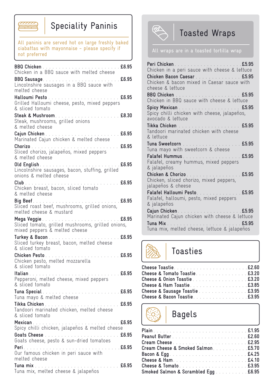

# Speciality Paninis **The Speciality Paninis** Toasted Wraps

All paninis are served hot on large freshly baked ciabattas with mayonnaise - please specify if not preferred

| BBQ Sausage.<br>$\ldots$ £6.95<br>Lincolnshire sausages in a BBQ sauce with<br>melted cheese      |
|---------------------------------------------------------------------------------------------------|
| Grilled Halloumi cheese, pesto, mixed peppers<br>& sliced tomato                                  |
| Steak, mushrooms, grilled onions<br>& melted cheese                                               |
|                                                                                                   |
| . $E6.95$<br>Chorizo<br>Sliced chorizo, jalapeños, mixed peppers<br>& melted cheese               |
| £6.95<br>Lincolnshire sausages, bacon, stuffing, grilled<br>onions & melted cheese                |
| Club<br>. <b>£6.95</b><br>Chicken breast, bacon, sliced tomato<br>& melted cheese                 |
| melted cheese & mustard                                                                           |
| Sliced tomato, grilled mushrooms, grilled onions,<br>mixed peppers & melted cheese                |
| Turkey & Bacon<br>$\ldots$ £6.95<br>Sliced turkey breast, bacon, melted cheese<br>& sliced tomato |
| Chicken pesto, melted mozzarella                                                                  |
| £6.95<br>Pepperoni, melted cheese, mixed peppers<br>& sliced tomato                               |
| Tuna mayo & melted cheese                                                                         |
| $\ldots$ £6.95<br>& sliced tomato                                                                 |
| £6.95                                                                                             |
| Goats Cheese<br>. £6.95<br>المتمام المتمار<br>Goats cheese, pesto & sun-dried tomatoes            |
| melted cheese                                                                                     |
|                                                                                                   |



| Chicken in a peri sauce with cheese & lettuce<br>Chicken Bacon Caesar £5.95<br>Chicken & bacon mixed in Caesar sauce with<br>cheese & lettuce |
|-----------------------------------------------------------------------------------------------------------------------------------------------|
| Chicken in BBQ sauce with cheese & lettuce                                                                                                    |
| Spicy Mexican £5.95<br>Spicy chilli chicken with cheese, jalapeños,<br>avocado & lettuce                                                      |
| Tandoori marinated chicken with cheese<br>& lettuce                                                                                           |
| Tuna Sweetcorn £5.95<br>Tuna mayo with sweetcorn & cheese                                                                                     |
| Falafel Hummus. £5.95<br>Falafel, creamy hummus, mixed peppers<br>& jalapeños                                                                 |
| Chicken & Chorizo £5.95<br>Chicken, sliced chorizo, mixed peppers,<br>jalapeños & cheese                                                      |
| $\ldots$ £5.95<br>Falafel Halloumi Pesto<br>Falafel, halloumi, pesto, mixed peppers<br>& jalapeños                                            |
| Marinated Cajun chicken with cheese & lettuce<br>Tuna Mix.<br>Tuna mix, melted cheese, lettuce & jalapeños                                    |

# Toasties

| Cheese & Tomato Toastie £3.20  |  |
|--------------------------------|--|
| Cheese & Onion Toastie £3.20   |  |
|                                |  |
| Cheese & Sausage Toastie £3.95 |  |
| Cheese & Bacon Toastie£3.95    |  |
|                                |  |

Bagels

| Cream Cheese22.95                   |  |
|-------------------------------------|--|
| Cream Cheese & Smoked Salmon. £5.70 |  |
|                                     |  |
|                                     |  |
| Cheese & Tomato £3.95               |  |
| Smoked Salmon & Scrambled Egg £6.95 |  |